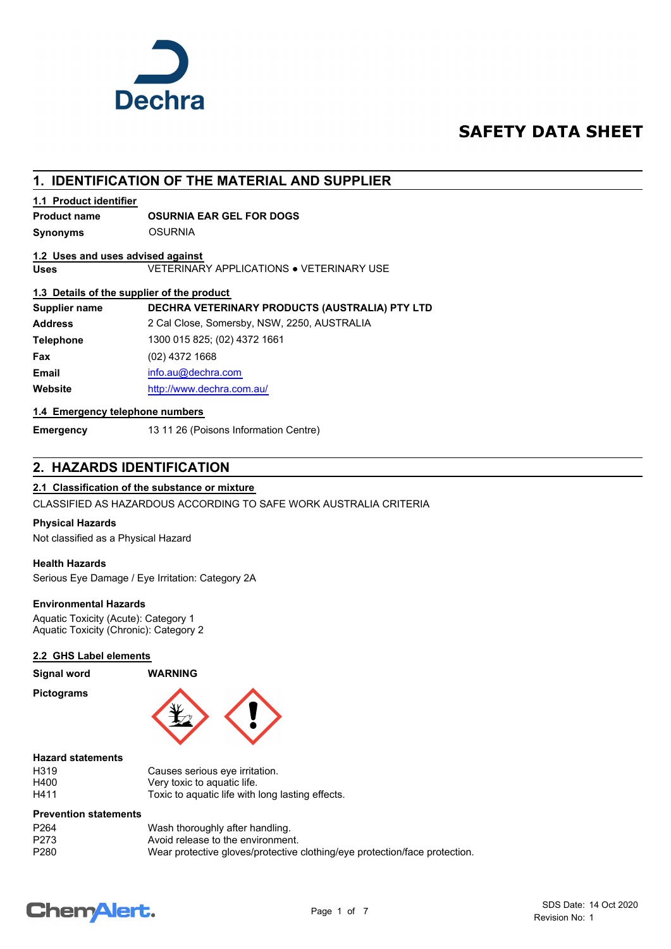

## **SAFETY DATA SHEET**

## **1. IDENTIFICATION OF THE MATERIAL AND SUPPLIER**

#### **1.1 Product identifier**

### **Product name OSURNIA EAR GEL FOR DOGS**

**Synonyms** OSURNIA

#### **1.2 Uses and uses advised against**

**Uses** VETERINARY APPLICATIONS ● VETERINARY USE

#### **1.3 Details of the supplier of the product**

| Supplier name    | DECHRA VETERINARY PRODUCTS (AUSTRALIA) PTY LTD |
|------------------|------------------------------------------------|
| <b>Address</b>   | 2 Cal Close, Somersby, NSW, 2250, AUSTRALIA    |
| <b>Telephone</b> | 1300 015 825; (02) 4372 1661                   |
| Fax              | $(02)$ 4372 1668                               |
| <b>Email</b>     | info.au@dechra.com                             |
| Website          | http://www.dechra.com.au/                      |
|                  |                                                |

#### **1.4 Emergency telephone numbers**

**Emergency** 13 11 26 (Poisons Information Centre)

## **2. HAZARDS IDENTIFICATION**

#### **2.1 Classification of the substance or mixture**

CLASSIFIED AS HAZARDOUS ACCORDING TO SAFE WORK AUSTRALIA CRITERIA

#### **Physical Hazards**

Not classified as a Physical Hazard

#### **Health Hazards**

Serious Eye Damage / Eye Irritation: Category 2A

#### **Environmental Hazards**

Aquatic Toxicity (Acute): Category 1 Aquatic Toxicity (Chronic): Category 2

#### **2.2 GHS Label elements**

## **Signal word WARNING**

**Pictograms**





#### **Hazard statements**

| H319 | Causes serious eye irritation.                   |
|------|--------------------------------------------------|
| H400 | Very toxic to aguatic life.                      |
| H411 | Toxic to aquatic life with long lasting effects. |

#### **Prevention statements**

| P <sub>264</sub> | Wash thoroughly after handling.                                            |
|------------------|----------------------------------------------------------------------------|
| P273             | Avoid release to the environment.                                          |
| P <sub>280</sub> | Wear protective gloves/protective clothing/eye protection/face protection. |

## **ChemAlert.**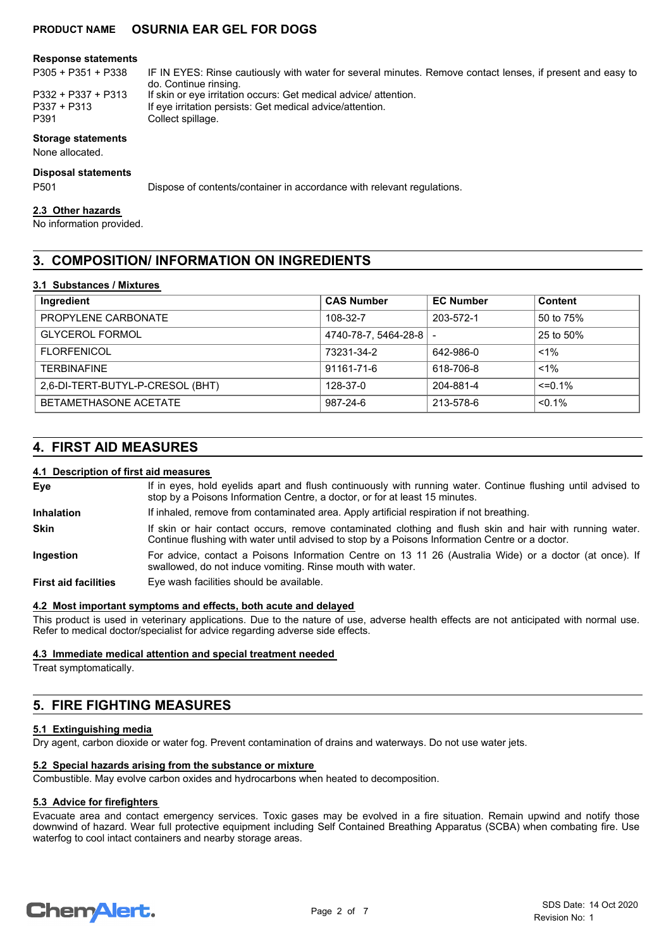#### **Response statements**

| <b>Storage statements</b> |                                                                                                            |
|---------------------------|------------------------------------------------------------------------------------------------------------|
| P391                      | Collect spillage.                                                                                          |
| P337 + P313               | If eye irritation persists: Get medical advice/attention.                                                  |
| P332 + P337 + P313        | If skin or eye irritation occurs: Get medical advice/ attention.                                           |
|                           | do. Continue rinsing.                                                                                      |
| $P305 + P351 + P338$      | IF IN EYES: Rinse cautiously with water for several minutes. Remove contact lenses, if present and easy to |

#### None allocated.

#### **Disposal statements**

P501 Dispose of contents/container in accordance with relevant regulations.

#### **2.3 Other hazards**

No information provided.

## **3. COMPOSITION/ INFORMATION ON INGREDIENTS**

#### **3.1 Substances / Mixtures**

| Ingredient                       | <b>CAS Number</b>    | <b>EC Number</b> | <b>Content</b> |
|----------------------------------|----------------------|------------------|----------------|
| PROPYLENE CARBONATE              | 108-32-7             | 203-572-1        | 50 to 75%      |
| <b>GLYCEROL FORMOL</b>           | 4740-78-7, 5464-28-8 |                  | 25 to 50%      |
| <b>FLORFENICOL</b>               | 73231-34-2           | 642-986-0        | $1\%$          |
| <b>TFRBINAFINF</b>               | 91161-71-6           | 618-706-8        | $< 1\%$        |
| 2,6-DI-TERT-BUTYL-P-CRESOL (BHT) | 128-37-0             | 204-881-4        | $\leq$ = 0.1%  |
| BETAMETHASONE ACETATE            | 987-24-6             | 213-578-6        | $< 0.1\%$      |

## **4. FIRST AID MEASURES**

#### **4.1 Description of first aid measures**

If in eyes, hold eyelids apart and flush continuously with running water. Continue flushing until advised to stop by a Poisons Information Centre, a doctor, or for at least 15 minutes. **Eye Inhalation** If inhaled, remove from contaminated area. Apply artificial respiration if not breathing. If skin or hair contact occurs, remove contaminated clothing and flush skin and hair with running water. Continue flushing with water until advised to stop by a Poisons Information Centre or a doctor. **Skin** For advice, contact a Poisons Information Centre on 13 11 26 (Australia Wide) or a doctor (at once). If swallowed, do not induce vomiting. Rinse mouth with water. **Ingestion First aid facilities** Eye wash facilities should be available.

#### **4.2 Most important symptoms and effects, both acute and delayed**

This product is used in veterinary applications. Due to the nature of use, adverse health effects are not anticipated with normal use. Refer to medical doctor/specialist for advice regarding adverse side effects.

#### **4.3 Immediate medical attention and special treatment needed**

Treat symptomatically.

## **5. FIRE FIGHTING MEASURES**

#### **5.1 Extinguishing media**

Dry agent, carbon dioxide or water fog. Prevent contamination of drains and waterways. Do not use water jets.

#### **5.2 Special hazards arising from the substance or mixture**

Combustible. May evolve carbon oxides and hydrocarbons when heated to decomposition.

#### **5.3 Advice for firefighters**

Evacuate area and contact emergency services. Toxic gases may be evolved in a fire situation. Remain upwind and notify those downwind of hazard. Wear full protective equipment including Self Contained Breathing Apparatus (SCBA) when combating fire. Use waterfog to cool intact containers and nearby storage areas.

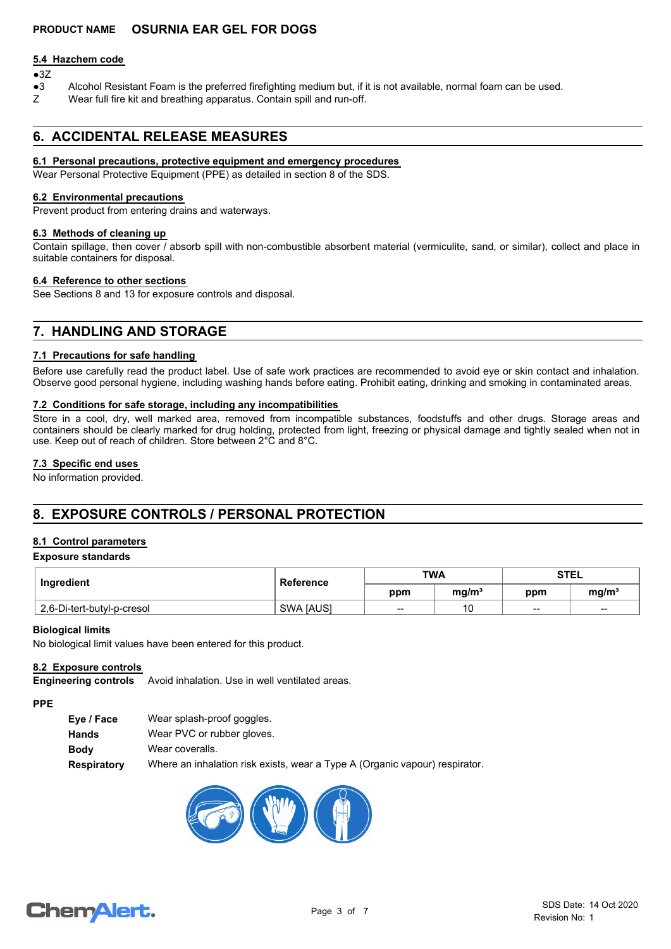#### **5.4 Hazchem code**

## $•3Z$

- ●3 Alcohol Resistant Foam is the preferred firefighting medium but, if it is not available, normal foam can be used.
- Z Wear full fire kit and breathing apparatus. Contain spill and run-off.

## **6. ACCIDENTAL RELEASE MEASURES**

#### **6.1 Personal precautions, protective equipment and emergency procedures**

Wear Personal Protective Equipment (PPE) as detailed in section 8 of the SDS.

#### **6.2 Environmental precautions**

Prevent product from entering drains and waterways.

#### **6.3 Methods of cleaning up**

Contain spillage, then cover / absorb spill with non-combustible absorbent material (vermiculite, sand, or similar), collect and place in suitable containers for disposal.

#### **6.4 Reference to other sections**

See Sections 8 and 13 for exposure controls and disposal.

## **7. HANDLING AND STORAGE**

#### **7.1 Precautions for safe handling**

Before use carefully read the product label. Use of safe work practices are recommended to avoid eye or skin contact and inhalation. Observe good personal hygiene, including washing hands before eating. Prohibit eating, drinking and smoking in contaminated areas.

#### **7.2 Conditions for safe storage, including any incompatibilities**

Store in a cool, dry, well marked area, removed from incompatible substances, foodstuffs and other drugs. Storage areas and containers should be clearly marked for drug holding, protected from light, freezing or physical damage and tightly sealed when not in use. Keep out of reach of children. Store between 2°C and 8°C.

#### **7.3 Specific end uses**

No information provided.

## **8. EXPOSURE CONTROLS / PERSONAL PROTECTION**

#### **8.1 Control parameters**

#### **Exposure standards**

| Ingredient                 | <b>Reference</b> | <b>TWA</b> |                   | <b>STEL</b>     |                   |
|----------------------------|------------------|------------|-------------------|-----------------|-------------------|
|                            |                  | ppm        | ma/m <sup>3</sup> | ppm             | mg/m <sup>3</sup> |
| 2,6-Di-tert-butyl-p-cresol | <b>SWA JAUSI</b> | $- -$      | 10                | $\qquad \qquad$ | $\sim$            |

#### **Biological limits**

No biological limit values have been entered for this product.

#### **8.2 Exposure controls**

Avoid inhalation. Use in well ventilated areas. **Engineering controls**

#### **PPE**

| Eye / Face         | Wear splash-proof goggles.                                                  |
|--------------------|-----------------------------------------------------------------------------|
| Hands              | Wear PVC or rubber gloves.                                                  |
| <b>Body</b>        | Wear coveralls.                                                             |
| <b>Respiratory</b> | Where an inhalation risk exists, wear a Type A (Organic vapour) respirator. |



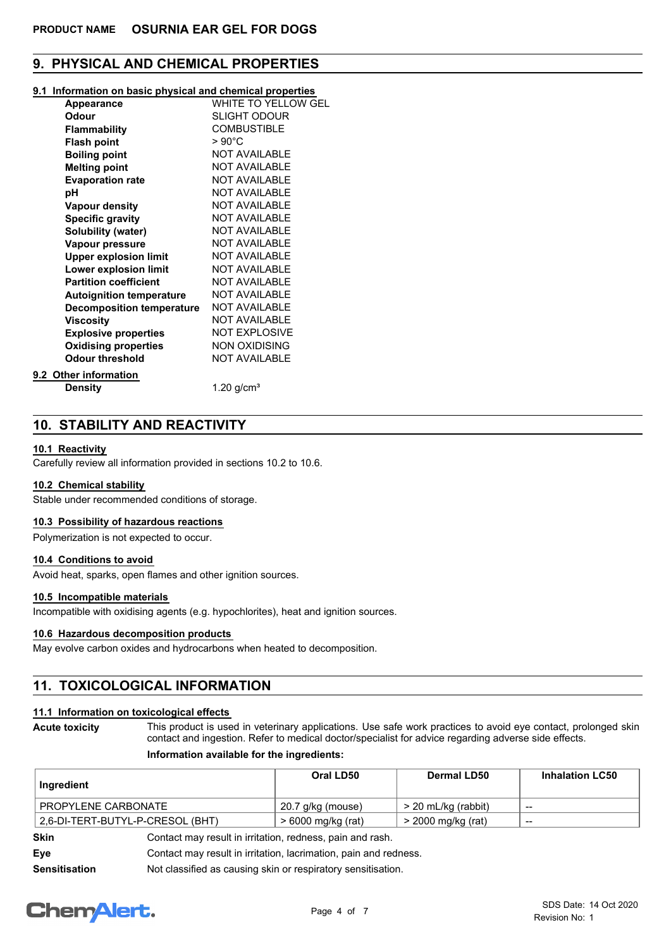## **9. PHYSICAL AND CHEMICAL PROPERTIES**

#### **9.1 Information on basic physical and chemical properties**

| <b>Appearance</b>                | WHITE TO YELLOW GEL  |
|----------------------------------|----------------------|
| Odour                            | <b>SLIGHT ODOUR</b>  |
| <b>Flammability</b>              | <b>COMBUSTIBLE</b>   |
| <b>Flash point</b>               | $>90^{\circ}$ C      |
| <b>Boiling point</b>             | <b>NOT AVAILABLE</b> |
| <b>Melting point</b>             | <b>NOT AVAILABLE</b> |
| <b>Evaporation rate</b>          | <b>NOT AVAILABLE</b> |
| рH                               | <b>NOT AVAILABLE</b> |
| <b>Vapour density</b>            | <b>NOT AVAILABLE</b> |
| <b>Specific gravity</b>          | <b>NOT AVAILABLE</b> |
| Solubility (water)               | <b>NOT AVAILABLE</b> |
| Vapour pressure                  | <b>NOT AVAILABLE</b> |
| <b>Upper explosion limit</b>     | <b>NOT AVAILABLE</b> |
| Lower explosion limit            | <b>NOT AVAILABLE</b> |
| <b>Partition coefficient</b>     | <b>NOT AVAILABLE</b> |
| <b>Autoignition temperature</b>  | <b>NOT AVAILABLE</b> |
| <b>Decomposition temperature</b> | <b>NOT AVAILABLE</b> |
| <b>Viscosity</b>                 | <b>NOT AVAILABLE</b> |
| <b>Explosive properties</b>      | <b>NOT EXPLOSIVE</b> |
| <b>Oxidising properties</b>      | <b>NON OXIDISING</b> |
| <b>Odour threshold</b>           | <b>NOT AVAILABLE</b> |
| 9.2 Other information            |                      |
|                                  |                      |

**Density** 1.20 g/cm<sup>3</sup>

## **10. STABILITY AND REACTIVITY**

#### **10.1 Reactivity**

Carefully review all information provided in sections 10.2 to 10.6.

#### **10.2 Chemical stability**

Stable under recommended conditions of storage.

#### **10.3 Possibility of hazardous reactions**

Polymerization is not expected to occur.

#### **10.4 Conditions to avoid**

Avoid heat, sparks, open flames and other ignition sources.

#### **10.5 Incompatible materials**

Incompatible with oxidising agents (e.g. hypochlorites), heat and ignition sources.

#### **10.6 Hazardous decomposition products**

May evolve carbon oxides and hydrocarbons when heated to decomposition.

## **11. TOXICOLOGICAL INFORMATION**

#### **11.1 Information on toxicological effects**

This product is used in veterinary applications. Use safe work practices to avoid eye contact, prolonged skin contact and ingestion. Refer to medical doctor/specialist for advice regarding adverse side effects. **Acute toxicity**

#### **Information available for the ingredients:**

| Ingredient          |                                  | Oral LD50                                                 | <b>Dermal LD50</b>  | <b>Inhalation LC50</b> |
|---------------------|----------------------------------|-----------------------------------------------------------|---------------------|------------------------|
| PROPYLENE CARBONATE |                                  | 20.7 g/kg (mouse)                                         | > 20 mL/kg (rabbit) | --                     |
|                     | 2,6-DI-TERT-BUTYL-P-CRESOL (BHT) | > 6000 mg/kg (rat)                                        | > 2000 mg/kg (rat)  | $\qquad \qquad$        |
| <b>Skin</b>         |                                  | Contact may result in irritation, redness, pain and rash. |                     |                        |
|                     |                                  |                                                           |                     |                        |

**Eye Eye** Contact may result in irritation, lacrimation, pain and redness.

**Sensitisation** Not classified as causing skin or respiratory sensitisation.

# **ChemAlert.**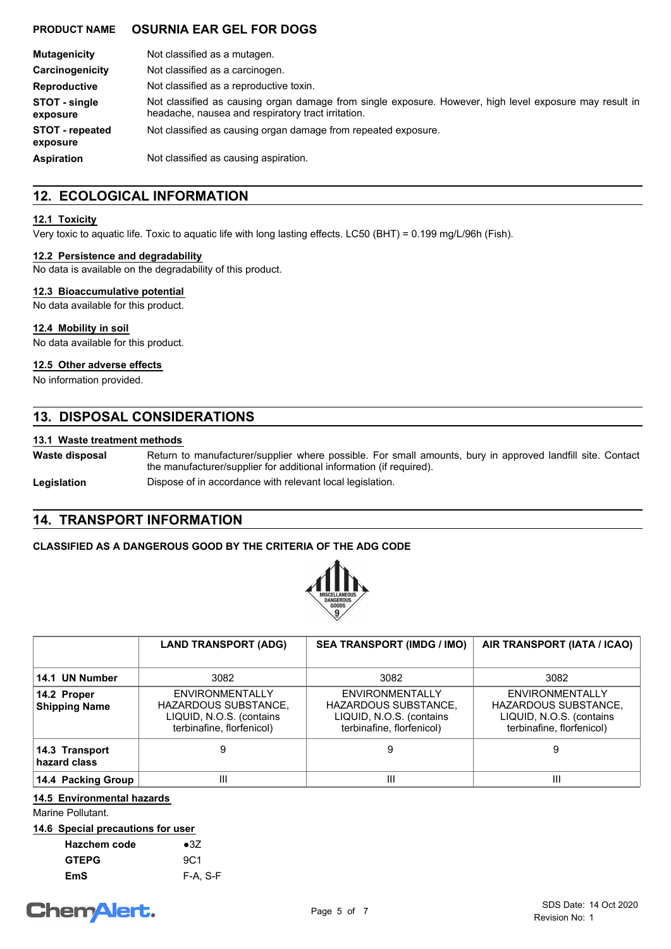| <b>Mutagenicity</b>                | Not classified as a mutagen.                                                                                                                                  |
|------------------------------------|---------------------------------------------------------------------------------------------------------------------------------------------------------------|
| Carcinogenicity                    | Not classified as a carcinogen.                                                                                                                               |
| <b>Reproductive</b>                | Not classified as a reproductive toxin.                                                                                                                       |
| STOT - single<br>exposure          | Not classified as causing organ damage from single exposure. However, high level exposure may result in<br>headache, nausea and respiratory tract irritation. |
| <b>STOT</b> - repeated<br>exposure | Not classified as causing organ damage from repeated exposure.                                                                                                |
| <b>Aspiration</b>                  | Not classified as causing aspiration.                                                                                                                         |

## **12. ECOLOGICAL INFORMATION**

#### **12.1 Toxicity**

Very toxic to aquatic life. Toxic to aquatic life with long lasting effects. LC50 (BHT) = 0.199 mg/L/96h (Fish).

#### **12.2 Persistence and degradability**

No data is available on the degradability of this product.

#### **12.3 Bioaccumulative potential**

No data available for this product.

**12.4 Mobility in soil**

No data available for this product.

#### **12.5 Other adverse effects**

No information provided.

## **13. DISPOSAL CONSIDERATIONS**

### **13.1 Waste treatment methods**

**Waste disposal**

Return to manufacturer/supplier where possible. For small amounts, bury in approved landfill site. Contact the manufacturer/supplier for additional information (if required).

#### Legislation **Dispose of in accordance with relevant local legislation.**

## **14. TRANSPORT INFORMATION**

### **CLASSIFIED AS A DANGEROUS GOOD BY THE CRITERIA OF THE ADG CODE**



|                                     | <b>LAND TRANSPORT (ADG)</b>                                                                      | <b>SEA TRANSPORT (IMDG / IMO)</b>                                                                       | AIR TRANSPORT (IATA / ICAO)                                                                                    |
|-------------------------------------|--------------------------------------------------------------------------------------------------|---------------------------------------------------------------------------------------------------------|----------------------------------------------------------------------------------------------------------------|
| 14.1 UN Number                      | 3082                                                                                             | 3082                                                                                                    | 3082                                                                                                           |
| 14.2 Proper<br><b>Shipping Name</b> | ENVIRONMENTALLY<br>HAZARDOUS SUBSTANCE,<br>LIQUID, N.O.S. (contains<br>terbinafine, florfenicol) | ENVIRONMENTALLY<br><b>HAZARDOUS SUBSTANCE,</b><br>LIQUID, N.O.S. (contains<br>terbinafine, florfenicol) | <b>ENVIRONMENTALLY</b><br><b>HAZARDOUS SUBSTANCE,</b><br>LIQUID, N.O.S. (contains<br>terbinafine, florfenicol) |
| 14.3 Transport<br>hazard class      |                                                                                                  | 9                                                                                                       | 9                                                                                                              |
| 14.4 Packing Group                  | Ш                                                                                                | Ш                                                                                                       | Ш                                                                                                              |

## **14.5 Environmental hazards**

Marine Pollutant.

|  | 14.6 Special precautions for user |  |  |
|--|-----------------------------------|--|--|
|  |                                   |  |  |

| Hazchem code | $\bullet$ 37    |
|--------------|-----------------|
| <b>GTEPG</b> | 9C <sub>1</sub> |
| EmS          | F-A, S-F        |

## **ChemAlert.**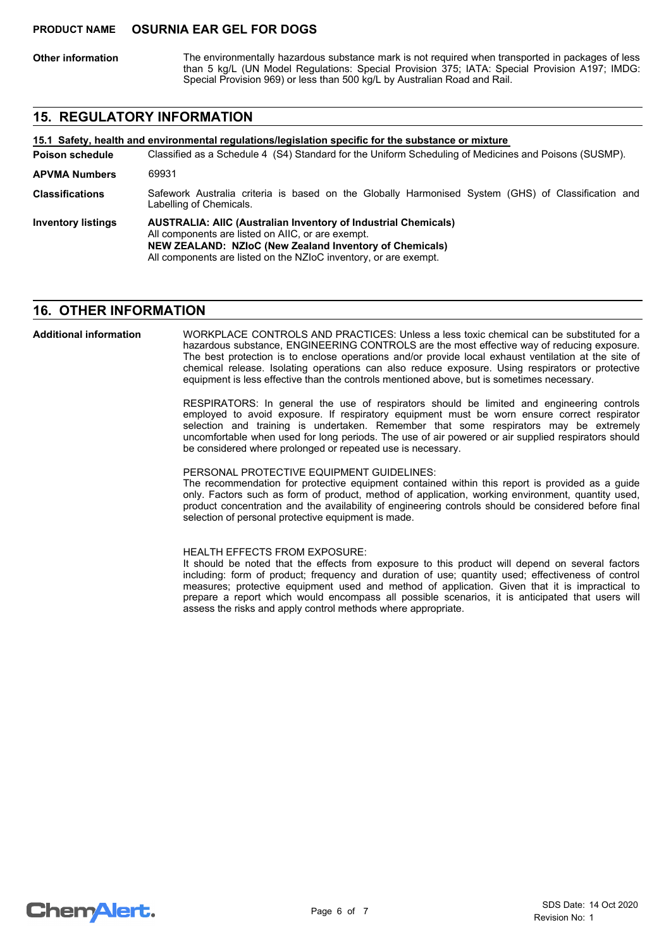**Other information**

The environmentally hazardous substance mark is not required when transported in packages of less than 5 kg/L (UN Model Regulations: Special Provision 375; IATA: Special Provision A197; IMDG: Special Provision 969) or less than 500 kg/L by Australian Road and Rail.

## **15. REGULATORY INFORMATION**

**15.1 Safety, health and environmental regulations/legislation specific for the substance or mixture**

Classified as a Schedule 4 (S4) Standard for the Uniform Scheduling of Medicines and Poisons (SUSMP). **Poison schedule**

**AUSTRALIA: AIIC (Australian Inventory of Industrial Chemicals)** All components are listed on AIIC, or are exempt. **NEW ZEALAND: NZIoC (New Zealand Inventory of Chemicals)** All components are listed on the NZIoC inventory, or are exempt. **Inventory listings** Safework Australia criteria is based on the Globally Harmonised System (GHS) of Classification and Labelling of Chemicals. **Classifications APVMA Numbers** 69931

#### **16. OTHER INFORMATION**

WORKPLACE CONTROLS AND PRACTICES: Unless a less toxic chemical can be substituted for a hazardous substance, ENGINEERING CONTROLS are the most effective way of reducing exposure. The best protection is to enclose operations and/or provide local exhaust ventilation at the site of chemical release. Isolating operations can also reduce exposure. Using respirators or protective equipment is less effective than the controls mentioned above, but is sometimes necessary. **Additional information**

> RESPIRATORS: In general the use of respirators should be limited and engineering controls employed to avoid exposure. If respiratory equipment must be worn ensure correct respirator selection and training is undertaken. Remember that some respirators may be extremely uncomfortable when used for long periods. The use of air powered or air supplied respirators should be considered where prolonged or repeated use is necessary.

PERSONAL PROTECTIVE EQUIPMENT GUIDELINES:

The recommendation for protective equipment contained within this report is provided as a guide only. Factors such as form of product, method of application, working environment, quantity used, product concentration and the availability of engineering controls should be considered before final selection of personal protective equipment is made.

HEALTH EFFECTS FROM EXPOSURE:

It should be noted that the effects from exposure to this product will depend on several factors including: form of product; frequency and duration of use; quantity used; effectiveness of control measures; protective equipment used and method of application. Given that it is impractical to prepare a report which would encompass all possible scenarios, it is anticipated that users will assess the risks and apply control methods where appropriate.